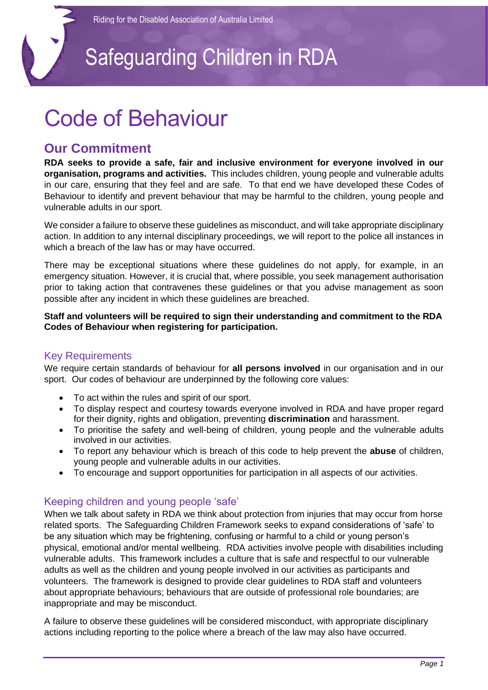### Safeguarding Children in RDA

### Code of Behaviour

### **Our Commitment**

**RDA seeks to provide a safe, fair and inclusive environment for everyone involved in our organisation, programs and activities.** This includes children, young people and vulnerable adults in our care, ensuring that they feel and are safe. To that end we have developed these Codes of Behaviour to identify and prevent behaviour that may be harmful to the children, young people and vulnerable adults in our sport.

We consider a failure to observe these guidelines as misconduct, and will take appropriate disciplinary action. In addition to any internal disciplinary proceedings, we will report to the police all instances in which a breach of the law has or may have occurred.

There may be exceptional situations where these guidelines do not apply, for example, in an emergency situation. However, it is crucial that, where possible, you seek management authorisation prior to taking action that contravenes these guidelines or that you advise management as soon possible after any incident in which these guidelines are breached.

#### **Staff and volunteers will be required to sign their understanding and commitment to the RDA Codes of Behaviour when registering for participation.**

#### Key Requirements

We require certain standards of behaviour for **all persons involved** in our organisation and in our sport. Our codes of behaviour are underpinned by the following core values:

- To act within the rules and spirit of our sport.
- To display respect and courtesy towards everyone involved in RDA and have proper regard for their dignity, rights and obligation, preventing **discrimination** and harassment.
- To prioritise the safety and well-being of children, young people and the vulnerable adults involved in our activities.
- To report any behaviour which is breach of this code to help prevent the **abuse** of children, young people and vulnerable adults in our activities.
- To encourage and support opportunities for participation in all aspects of our activities.

#### Keeping children and young people 'safe'

When we talk about safety in RDA we think about protection from injuries that may occur from horse related sports. The Safeguarding Children Framework seeks to expand considerations of 'safe' to be any situation which may be frightening, confusing or harmful to a child or young person's physical, emotional and/or mental wellbeing. RDA activities involve people with disabilities including vulnerable adults. This framework includes a culture that is safe and respectful to our vulnerable adults as well as the children and young people involved in our activities as participants and volunteers. The framework is designed to provide clear guidelines to RDA staff and volunteers about appropriate behaviours; behaviours that are outside of professional role boundaries; are inappropriate and may be misconduct.

A failure to observe these guidelines will be considered misconduct, with appropriate disciplinary actions including reporting to the police where a breach of the law may also have occurred.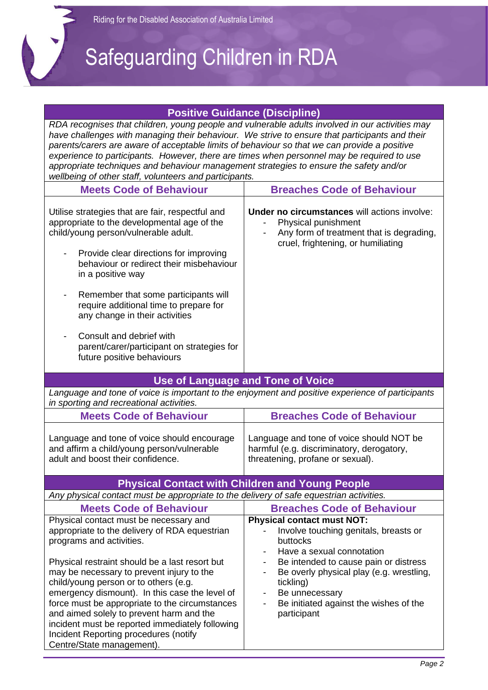# Safeguarding Children in RDA

#### **Positive Guidance (Discipline)**

| L ASIIIAE Adidating (NISAINIIIE)                                                                                                                                                                                                                                                                                                                                                                                                                                                                                                                    |                                                                                                                                                                                                                                                                                                                                   |
|-----------------------------------------------------------------------------------------------------------------------------------------------------------------------------------------------------------------------------------------------------------------------------------------------------------------------------------------------------------------------------------------------------------------------------------------------------------------------------------------------------------------------------------------------------|-----------------------------------------------------------------------------------------------------------------------------------------------------------------------------------------------------------------------------------------------------------------------------------------------------------------------------------|
| RDA recognises that children, young people and vulnerable adults involved in our activities may<br>have challenges with managing their behaviour. We strive to ensure that participants and their<br>parents/carers are aware of acceptable limits of behaviour so that we can provide a positive<br>experience to participants. However, there are times when personnel may be required to use<br>appropriate techniques and behaviour management strategies to ensure the safety and/or<br>wellbeing of other staff, volunteers and participants. |                                                                                                                                                                                                                                                                                                                                   |
| <b>Meets Code of Behaviour</b>                                                                                                                                                                                                                                                                                                                                                                                                                                                                                                                      | <b>Breaches Code of Behaviour</b>                                                                                                                                                                                                                                                                                                 |
| Utilise strategies that are fair, respectful and<br>appropriate to the developmental age of the<br>child/young person/vulnerable adult.<br>Provide clear directions for improving<br>behaviour or redirect their misbehaviour<br>in a positive way                                                                                                                                                                                                                                                                                                  | <b>Under no circumstances will actions involve:</b><br>Physical punishment<br>Any form of treatment that is degrading,<br>cruel, frightening, or humiliating                                                                                                                                                                      |
| Remember that some participants will<br>require additional time to prepare for<br>any change in their activities                                                                                                                                                                                                                                                                                                                                                                                                                                    |                                                                                                                                                                                                                                                                                                                                   |
| Consult and debrief with<br>parent/carer/participant on strategies for<br>future positive behaviours                                                                                                                                                                                                                                                                                                                                                                                                                                                |                                                                                                                                                                                                                                                                                                                                   |
|                                                                                                                                                                                                                                                                                                                                                                                                                                                                                                                                                     | Use of Language and Tone of Voice                                                                                                                                                                                                                                                                                                 |
| Language and tone of voice is important to the enjoyment and positive experience of participants<br>in sporting and recreational activities.                                                                                                                                                                                                                                                                                                                                                                                                        |                                                                                                                                                                                                                                                                                                                                   |
| <b>Meets Code of Behaviour</b>                                                                                                                                                                                                                                                                                                                                                                                                                                                                                                                      | <b>Breaches Code of Behaviour</b>                                                                                                                                                                                                                                                                                                 |
| Language and tone of voice should encourage<br>and affirm a child/young person/vulnerable<br>adult and boost their confidence.                                                                                                                                                                                                                                                                                                                                                                                                                      | Language and tone of voice should NOT be<br>harmful (e.g. discriminatory, derogatory,<br>threatening, profane or sexual).                                                                                                                                                                                                         |
|                                                                                                                                                                                                                                                                                                                                                                                                                                                                                                                                                     | <b>Physical Contact with Children and Young People</b>                                                                                                                                                                                                                                                                            |
| Any physical contact must be appropriate to the delivery of safe equestrian activities.                                                                                                                                                                                                                                                                                                                                                                                                                                                             |                                                                                                                                                                                                                                                                                                                                   |
| <b>Meets Code of Behaviour</b>                                                                                                                                                                                                                                                                                                                                                                                                                                                                                                                      | <b>Breaches Code of Behaviour</b>                                                                                                                                                                                                                                                                                                 |
| Physical contact must be necessary and<br>appropriate to the delivery of RDA equestrian<br>programs and activities.<br>Physical restraint should be a last resort but<br>may be necessary to prevent injury to the<br>child/young person or to others (e.g.<br>emergency dismount). In this case the level of<br>force must be appropriate to the circumstances<br>and aimed solely to prevent harm and the<br>incident must be reported immediately following<br>Incident Reporting procedures (notify<br>Centre/State management).                | <b>Physical contact must NOT:</b><br>Involve touching genitals, breasts or<br>buttocks<br>Have a sexual connotation<br>Be intended to cause pain or distress<br>$\overline{\phantom{a}}$<br>Be overly physical play (e.g. wrestling,<br>tickling)<br>Be unnecessary<br>-<br>Be initiated against the wishes of the<br>participant |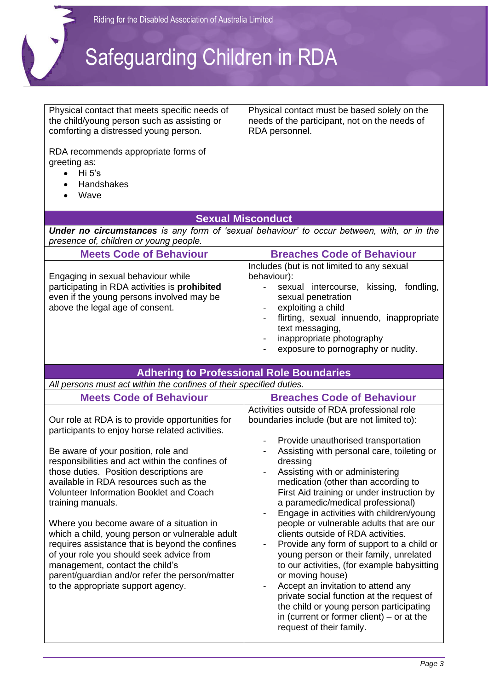

| Physical contact that meets specific needs of<br>the child/young person such as assisting or<br>comforting a distressed young person.<br>RDA recommends appropriate forms of<br>greeting as:<br>Hi 5's<br>$\bullet$<br>Handshakes<br>Wave                                                                                                                                                                                                                                                                                                                                                                                                                                  | Physical contact must be based solely on the<br>needs of the participant, not on the needs of<br>RDA personnel.                                                                                                                                                                                                                                                                                                                                                                                                                                                                                                                                                                                                                                                                                              |  |
|----------------------------------------------------------------------------------------------------------------------------------------------------------------------------------------------------------------------------------------------------------------------------------------------------------------------------------------------------------------------------------------------------------------------------------------------------------------------------------------------------------------------------------------------------------------------------------------------------------------------------------------------------------------------------|--------------------------------------------------------------------------------------------------------------------------------------------------------------------------------------------------------------------------------------------------------------------------------------------------------------------------------------------------------------------------------------------------------------------------------------------------------------------------------------------------------------------------------------------------------------------------------------------------------------------------------------------------------------------------------------------------------------------------------------------------------------------------------------------------------------|--|
|                                                                                                                                                                                                                                                                                                                                                                                                                                                                                                                                                                                                                                                                            | <b>Sexual Misconduct</b>                                                                                                                                                                                                                                                                                                                                                                                                                                                                                                                                                                                                                                                                                                                                                                                     |  |
| <b>Under no circumstances</b> is any form of 'sexual behaviour' to occur between, with, or in the<br>presence of, children or young people.                                                                                                                                                                                                                                                                                                                                                                                                                                                                                                                                |                                                                                                                                                                                                                                                                                                                                                                                                                                                                                                                                                                                                                                                                                                                                                                                                              |  |
| <b>Meets Code of Behaviour</b>                                                                                                                                                                                                                                                                                                                                                                                                                                                                                                                                                                                                                                             | <b>Breaches Code of Behaviour</b>                                                                                                                                                                                                                                                                                                                                                                                                                                                                                                                                                                                                                                                                                                                                                                            |  |
| Engaging in sexual behaviour while<br>participating in RDA activities is prohibited<br>even if the young persons involved may be<br>above the legal age of consent.                                                                                                                                                                                                                                                                                                                                                                                                                                                                                                        | Includes (but is not limited to any sexual<br>behaviour):<br>sexual intercourse,<br>kissing, fondling,<br>sexual penetration<br>exploiting a child<br>flirting, sexual innuendo, inappropriate<br>text messaging,<br>inappropriate photography<br>exposure to pornography or nudity.                                                                                                                                                                                                                                                                                                                                                                                                                                                                                                                         |  |
|                                                                                                                                                                                                                                                                                                                                                                                                                                                                                                                                                                                                                                                                            | <b>Adhering to Professional Role Boundaries</b>                                                                                                                                                                                                                                                                                                                                                                                                                                                                                                                                                                                                                                                                                                                                                              |  |
| All persons must act within the confines of their specified duties.                                                                                                                                                                                                                                                                                                                                                                                                                                                                                                                                                                                                        |                                                                                                                                                                                                                                                                                                                                                                                                                                                                                                                                                                                                                                                                                                                                                                                                              |  |
| <b>Meets Code of Behaviour</b>                                                                                                                                                                                                                                                                                                                                                                                                                                                                                                                                                                                                                                             | <b>Breaches Code of Behaviour</b><br>Activities outside of RDA professional role                                                                                                                                                                                                                                                                                                                                                                                                                                                                                                                                                                                                                                                                                                                             |  |
| Our role at RDA is to provide opportunities for<br>participants to enjoy horse related activities.<br>Be aware of your position, role and<br>responsibilities and act within the confines of<br>those duties. Position descriptions are<br>available in RDA resources such as the<br>Volunteer Information Booklet and Coach<br>training manuals.<br>Where you become aware of a situation in<br>which a child, young person or vulnerable adult<br>requires assistance that is beyond the confines<br>of your role you should seek advice from<br>management, contact the child's<br>parent/guardian and/or refer the person/matter<br>to the appropriate support agency. | boundaries include (but are not limited to):<br>Provide unauthorised transportation<br>Assisting with personal care, toileting or<br>dressing<br>Assisting with or administering<br>medication (other than according to<br>First Aid training or under instruction by<br>a paramedic/medical professional)<br>Engage in activities with children/young<br>people or vulnerable adults that are our<br>clients outside of RDA activities.<br>Provide any form of support to a child or<br>young person or their family, unrelated<br>to our activities, (for example babysitting<br>or moving house)<br>Accept an invitation to attend any<br>private social function at the request of<br>the child or young person participating<br>in (current or former client) $-$ or at the<br>request of their family. |  |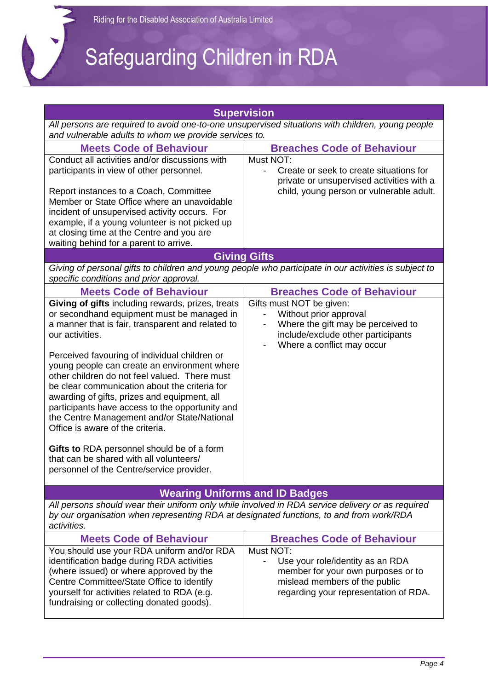1

# Safeguarding Children in RDA

| <b>Supervision</b>                                                                                                                                                                                                                                                                                                                                                                                                                                                                                                                                                                                                                                                                                     |                                                                                                                                                                 |  |
|--------------------------------------------------------------------------------------------------------------------------------------------------------------------------------------------------------------------------------------------------------------------------------------------------------------------------------------------------------------------------------------------------------------------------------------------------------------------------------------------------------------------------------------------------------------------------------------------------------------------------------------------------------------------------------------------------------|-----------------------------------------------------------------------------------------------------------------------------------------------------------------|--|
| All persons are required to avoid one-to-one unsupervised situations with children, young people<br>and vulnerable adults to whom we provide services to.                                                                                                                                                                                                                                                                                                                                                                                                                                                                                                                                              |                                                                                                                                                                 |  |
| <b>Meets Code of Behaviour</b>                                                                                                                                                                                                                                                                                                                                                                                                                                                                                                                                                                                                                                                                         | <b>Breaches Code of Behaviour</b>                                                                                                                               |  |
| Conduct all activities and/or discussions with<br>participants in view of other personnel.<br>Report instances to a Coach, Committee<br>Member or State Office where an unavoidable<br>incident of unsupervised activity occurs. For<br>example, if a young volunteer is not picked up<br>at closing time at the Centre and you are<br>waiting behind for a parent to arrive.                                                                                                                                                                                                                                                                                                                          | Must NOT:<br>Create or seek to create situations for<br>$\blacksquare$<br>private or unsupervised activities with a<br>child, young person or vulnerable adult. |  |
|                                                                                                                                                                                                                                                                                                                                                                                                                                                                                                                                                                                                                                                                                                        | <b>Giving Gifts</b>                                                                                                                                             |  |
| Giving of personal gifts to children and young people who participate in our activities is subject to<br>specific conditions and prior approval.                                                                                                                                                                                                                                                                                                                                                                                                                                                                                                                                                       |                                                                                                                                                                 |  |
| <b>Meets Code of Behaviour</b>                                                                                                                                                                                                                                                                                                                                                                                                                                                                                                                                                                                                                                                                         | <b>Breaches Code of Behaviour</b>                                                                                                                               |  |
| Giving of gifts including rewards, prizes, treats<br>or secondhand equipment must be managed in<br>a manner that is fair, transparent and related to<br>our activities.<br>Perceived favouring of individual children or<br>young people can create an environment where<br>other children do not feel valued. There must<br>be clear communication about the criteria for<br>awarding of gifts, prizes and equipment, all<br>participants have access to the opportunity and<br>the Centre Management and/or State/National<br>Office is aware of the criteria.<br>Gifts to RDA personnel should be of a form<br>that can be shared with all volunteers/<br>personnel of the Centre/service provider. | Gifts must NOT be given:<br>Without prior approval<br>Where the gift may be perceived to<br>include/exclude other participants<br>Where a conflict may occur    |  |
|                                                                                                                                                                                                                                                                                                                                                                                                                                                                                                                                                                                                                                                                                                        | <b>Wearing Uniforms and ID Badges</b>                                                                                                                           |  |
| All persons should wear their uniform only while involved in RDA service delivery or as required<br>by our organisation when representing RDA at designated functions, to and from work/RDA<br>activities.                                                                                                                                                                                                                                                                                                                                                                                                                                                                                             |                                                                                                                                                                 |  |
| <b>Meets Code of Behaviour</b>                                                                                                                                                                                                                                                                                                                                                                                                                                                                                                                                                                                                                                                                         | <b>Breaches Code of Behaviour</b>                                                                                                                               |  |
| You should use your RDA uniform and/or RDA<br>identification badge during RDA activities<br>(where issued) or where approved by the<br>Centre Committee/State Office to identify<br>yourself for activities related to RDA (e.g.<br>fundraising or collecting donated goods).                                                                                                                                                                                                                                                                                                                                                                                                                          | Must NOT:<br>Use your role/identity as an RDA<br>member for your own purposes or to<br>mislead members of the public<br>regarding your representation of RDA.   |  |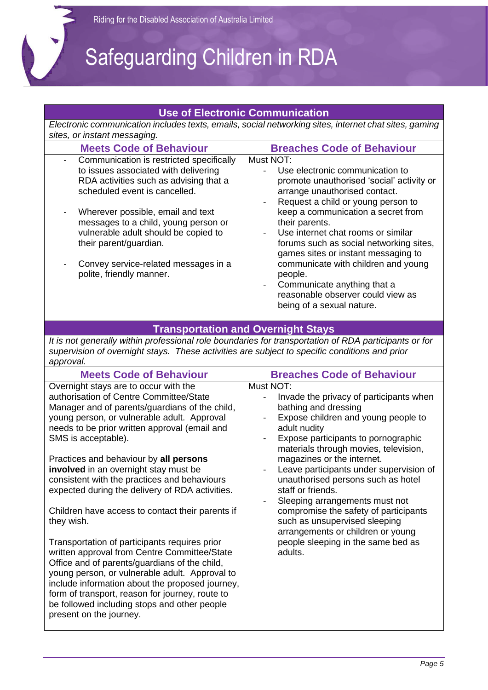$\bigvee$ 

### Safeguarding Children in RDA

| <b>Use of Electronic Communication</b>                                                                                                                                                                                                                                                                                                                                                                                                                                                                                                                                                                                                                                                                                |                                                                                                                                                                                                                                                                                                                                                                                                                                                                                                                                                           |
|-----------------------------------------------------------------------------------------------------------------------------------------------------------------------------------------------------------------------------------------------------------------------------------------------------------------------------------------------------------------------------------------------------------------------------------------------------------------------------------------------------------------------------------------------------------------------------------------------------------------------------------------------------------------------------------------------------------------------|-----------------------------------------------------------------------------------------------------------------------------------------------------------------------------------------------------------------------------------------------------------------------------------------------------------------------------------------------------------------------------------------------------------------------------------------------------------------------------------------------------------------------------------------------------------|
|                                                                                                                                                                                                                                                                                                                                                                                                                                                                                                                                                                                                                                                                                                                       | Electronic communication includes texts, emails, social networking sites, internet chat sites, gaming                                                                                                                                                                                                                                                                                                                                                                                                                                                     |
| sites, or instant messaging.<br><b>Meets Code of Behaviour</b><br>Communication is restricted specifically<br>to issues associated with delivering<br>RDA activities such as advising that a<br>scheduled event is cancelled.<br>Wherever possible, email and text<br>messages to a child, young person or<br>vulnerable adult should be copied to<br>their parent/guardian.                                                                                                                                                                                                                                                                                                                                          | <b>Breaches Code of Behaviour</b><br>Must NOT:<br>Use electronic communication to<br>promote unauthorised 'social' activity or<br>arrange unauthorised contact.<br>Request a child or young person to<br>keep a communication a secret from<br>their parents.<br>Use internet chat rooms or similar<br>forums such as social networking sites,                                                                                                                                                                                                            |
| Convey service-related messages in a<br>polite, friendly manner.                                                                                                                                                                                                                                                                                                                                                                                                                                                                                                                                                                                                                                                      | games sites or instant messaging to<br>communicate with children and young<br>people.<br>Communicate anything that a<br>$\overline{\phantom{a}}$<br>reasonable observer could view as<br>being of a sexual nature.                                                                                                                                                                                                                                                                                                                                        |
|                                                                                                                                                                                                                                                                                                                                                                                                                                                                                                                                                                                                                                                                                                                       | <b>Transportation and Overnight Stays</b>                                                                                                                                                                                                                                                                                                                                                                                                                                                                                                                 |
| It is not generally within professional role boundaries for transportation of RDA participants or for<br>supervision of overnight stays. These activities are subject to specific conditions and prior<br>approval.                                                                                                                                                                                                                                                                                                                                                                                                                                                                                                   |                                                                                                                                                                                                                                                                                                                                                                                                                                                                                                                                                           |
| <b>Meets Code of Behaviour</b>                                                                                                                                                                                                                                                                                                                                                                                                                                                                                                                                                                                                                                                                                        | <b>Breaches Code of Behaviour</b>                                                                                                                                                                                                                                                                                                                                                                                                                                                                                                                         |
| Overnight stays are to occur with the<br>authorisation of Centre Committee/State<br>Manager and of parents/guardians of the child,<br>young person, or vulnerable adult. Approval<br>needs to be prior written approval (email and<br>SMS is acceptable).<br>Practices and behaviour by all persons<br>involved in an overnight stay must be<br>consistent with the practices and behaviours<br>expected during the delivery of RDA activities.<br>Children have access to contact their parents if<br>they wish.<br>Transportation of participants requires prior<br>written approval from Centre Committee/State<br>Office and of parents/guardians of the child,<br>young person, or vulnerable adult. Approval to | Must NOT:<br>Invade the privacy of participants when<br>bathing and dressing<br>Expose children and young people to<br>adult nudity<br>Expose participants to pornographic<br>materials through movies, television,<br>magazines or the internet.<br>Leave participants under supervision of<br>unauthorised persons such as hotel<br>staff or friends.<br>Sleeping arrangements must not<br>compromise the safety of participants<br>such as unsupervised sleeping<br>arrangements or children or young<br>people sleeping in the same bed as<br>adults. |

include information about the proposed journey, form of transport, reason for journey, route to be followed including stops and other people

present on the journey.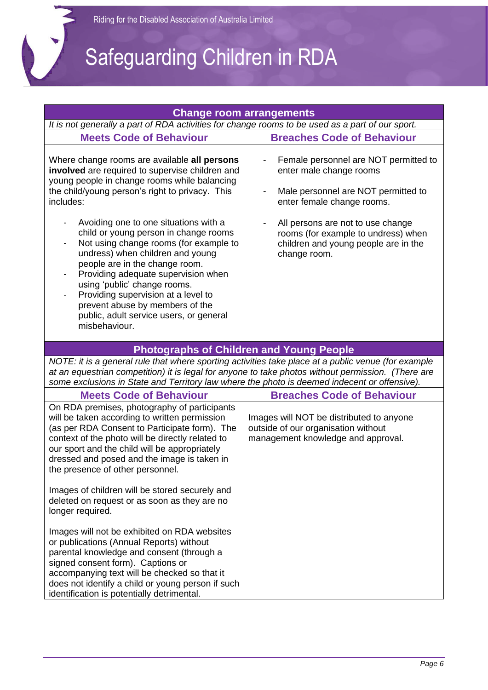# Safeguarding Children in RDA

|                                                                                                                                                                                                                                                                                                                                                                                                             | <b>Change room arrangements</b>                                                                                                       |  |
|-------------------------------------------------------------------------------------------------------------------------------------------------------------------------------------------------------------------------------------------------------------------------------------------------------------------------------------------------------------------------------------------------------------|---------------------------------------------------------------------------------------------------------------------------------------|--|
| It is not generally a part of RDA activities for change rooms to be used as a part of our sport.                                                                                                                                                                                                                                                                                                            |                                                                                                                                       |  |
| <b>Meets Code of Behaviour</b>                                                                                                                                                                                                                                                                                                                                                                              | <b>Breaches Code of Behaviour</b>                                                                                                     |  |
| Where change rooms are available all persons<br>involved are required to supervise children and<br>young people in change rooms while balancing<br>the child/young person's right to privacy. This<br>includes:                                                                                                                                                                                             | Female personnel are NOT permitted to<br>enter male change rooms<br>Male personnel are NOT permitted to<br>enter female change rooms. |  |
| Avoiding one to one situations with a<br>child or young person in change rooms<br>Not using change rooms (for example to<br>undress) when children and young<br>people are in the change room.<br>Providing adequate supervision when<br>using 'public' change rooms.<br>Providing supervision at a level to<br>prevent abuse by members of the<br>public, adult service users, or general<br>misbehaviour. | All persons are not to use change<br>rooms (for example to undress) when<br>children and young people are in the<br>change room.      |  |
|                                                                                                                                                                                                                                                                                                                                                                                                             | <b>Photographs of Children and Young People</b>                                                                                       |  |
| NOTE: it is a general rule that where sporting activities take place at a public venue (for example<br>at an equestrian competition) it is legal for anyone to take photos without permission. (There are<br>some exclusions in State and Territory law where the photo is deemed indecent or offensive).                                                                                                   |                                                                                                                                       |  |
| <b>Meets Code of Behaviour</b>                                                                                                                                                                                                                                                                                                                                                                              | <b>Breaches Code of Behaviour</b>                                                                                                     |  |
| On RDA premises, photography of participants<br>will be taken according to written permission<br>(as per RDA Consent to Participate form). The<br>context of the photo will be directly related to<br>our sport and the child will be appropriately<br>dressed and posed and the image is taken in<br>the presence of other personnel.                                                                      | Images will NOT be distributed to anyone<br>outside of our organisation without<br>management knowledge and approval.                 |  |
| Images of children will be stored securely and<br>deleted on request or as soon as they are no<br>longer required.                                                                                                                                                                                                                                                                                          |                                                                                                                                       |  |
| Images will not be exhibited on RDA websites<br>or publications (Annual Reports) without<br>parental knowledge and consent (through a<br>signed consent form). Captions or<br>accompanying text will be checked so that it<br>does not identify a child or young person if such<br>identification is potentially detrimental.                                                                               |                                                                                                                                       |  |